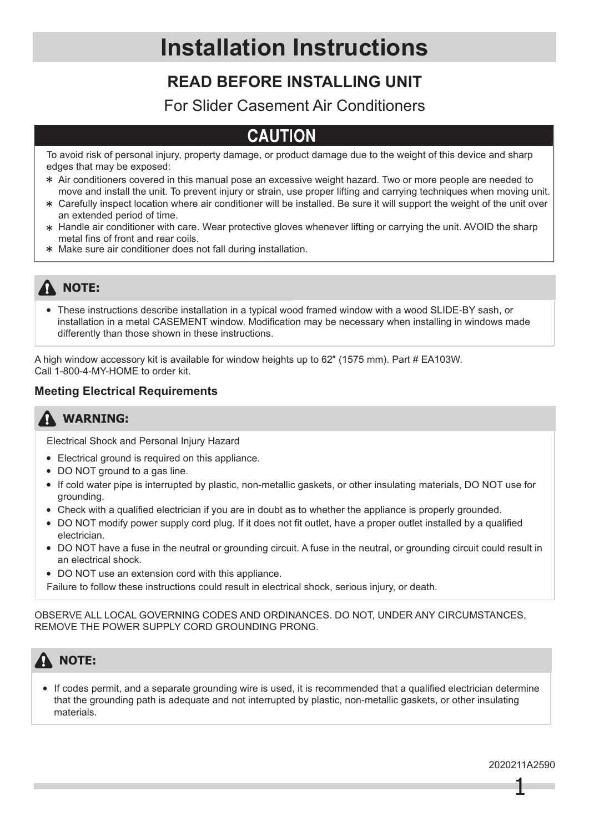## **READ BEFORE INSTALLING UNIT**

### For Slider Casement Air Conditioners

## CALITION

To avoid risk of personal injury, property damage, or product damage due to the weight of this device and sharp edges that may be exposed:

- Air conditioners covered in this manual pose an excessive weight hazard. Two or more people are needed to move and install the unit. To prevent injury or strain, use proper lifting and carrying techniques when moving unit.
- Carefully inspect location where air conditioner will be installed. Be sure it will support the weight of the unit over an extended period of time.
- Handle air conditioner with care. Wear protective gloves whenever lifting or carrying the unit. AVOID the sharp metal fins of front and rear coils.
- Make sure air conditioner does not fall during installation.

### **A** NOTE:

These instructions describe installation in a typical wood framed window with a wood SLIDE-BY sash, or installation in a metal CASEMENT window. Modification may be necessary when installing in windows made differently than those shown in these instructions.

A high window accessory kit is available for window heights up to 62" (1575 mm). Part # EA103W. Call 1-800-4-MY-HOME to order kit.

### **Meeting Electrical Requirements**

### **WARNING:**

Electrical Shock and Personal Injury Hazard

- Electrical ground is required on this appliance.
- DO NOT ground to a gas line.
- If cold water pipe is interrupted by plastic, non-metallic gaskets, or other insulating materials, DO NOT use for grounding.
- Check with a qualified electrician if you are in doubt as to whether the appliance is properly grounded.
- DO NOT modify power supply cord plug. If it does not fit outlet, have a proper outlet installed by a qualified electrician.
- DO NOT have a fuse in the neutral or grounding circuit. A fuse in the neutral, or grounding circuit could result in an electrical shock.
- DO NOT use an extension cord with this appliance.
- Failure to follow these instructions could result in electrical shock, serious injury, or death.

OBSERVE ALL LOCAL GOVERNING CODES AND ORDINANCES. DO NOT, UNDER ANY CIRCUMSTANCES, REMOVE THE POWER SUPPLY CORD GROUNDING PRONG.

## **NOTE:**

If codes permit, and a separate grounding wire is used, it is recommended that a qualified electrician determine that the grounding path is adequate and not interrupted by plastic, non-metallic gaskets, or other insulating materials.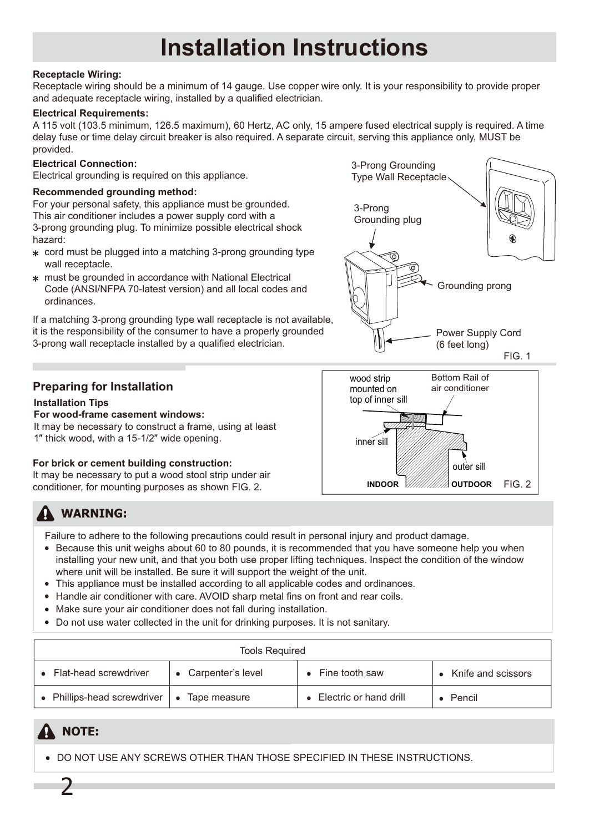#### **Receptacle Wiring:**

Receptacle wiring should be a minimum of 14 gauge. Use copper wire only. It is your responsibility to provide proper and adequate receptacle wiring, installed by a qualified electrician.

#### **Electrical Requirements:**

A 115 volt (103.5 minimum, 126.5 maximum), 60 Hertz, AC only, 15 ampere fused electrical supply is required. A time delay fuse or time delay circuit breaker is also required. A separate circuit, serving this appliance only, MUST be provided.

#### **Electrical Connection:**

Electrical grounding is required on this appliance.

#### **Recommended grounding method:**

For your personal safety, this appliance must be grounded. This air conditioner includes a power supply cord with a 3-prong grounding plug. To minimize possible electrical shock hazard:

- cord must be plugged into a matching 3-prong grounding type wall receptacle.
- must be grounded in accordance with National Electrical Code (ANSI/NFPA 70-latest version) and all local codes and ordinances.

If a matching 3-prong grounding type wall receptacle is not available, it is the responsibility of the consumer to have a properly grounded 3-prong wall receptacle installed by a qualified electrician.

#### **Preparing for Installation**

#### **Installation Tips**

**For wood-frame casement windows:**

It may be necessary to construct a frame, using at least 1" thick wood, with a 15-1/2" wide opening.

#### **For brick or cement building construction:**

It may be necessary to put a wood stool strip under air conditioner, for mounting purposes as shown FIG. 2.



Failure to adhere to the following precautions could result in personal injury and product damage.

• Because this unit weighs about 60 to 80 pounds, it is recommended that you have someone help you when installing your new unit, and that you both use proper lifting techniques. Inspect the condition of the window where unit will be installed. Be sure it will support the weight of the unit.

inner sill

wood strip mounted on top of inner sill

- This appliance must be installed according to all applicable codes and ordinances.
- Handle air conditioner with care. AVOID sharp metal fins on front and rear coils.
- Make sure your air conditioner does not fall during installation.
- Do not use water collected in the unit for drinking purposes. It is not sanitary.

| <b>Tools Required</b>       |                           |                          |                    |  |
|-----------------------------|---------------------------|--------------------------|--------------------|--|
| • Flat-head screwdriver     | Carpenter's level         | $\bullet$ Fine tooth saw | Knife and scissors |  |
| • Phillips-head screwdriver | Tape measure<br>$\bullet$ | Electric or hand drill   | Pencil             |  |

### **A** NOTE:

2

DO NOT USE ANY SCREWS OTHER THAN THOSE SPECIFIED IN THESE INSTRUCTIONS.



**INDOOR OUTDOOR**

outer sill

FIG. 2

Bottom Rail of air conditioner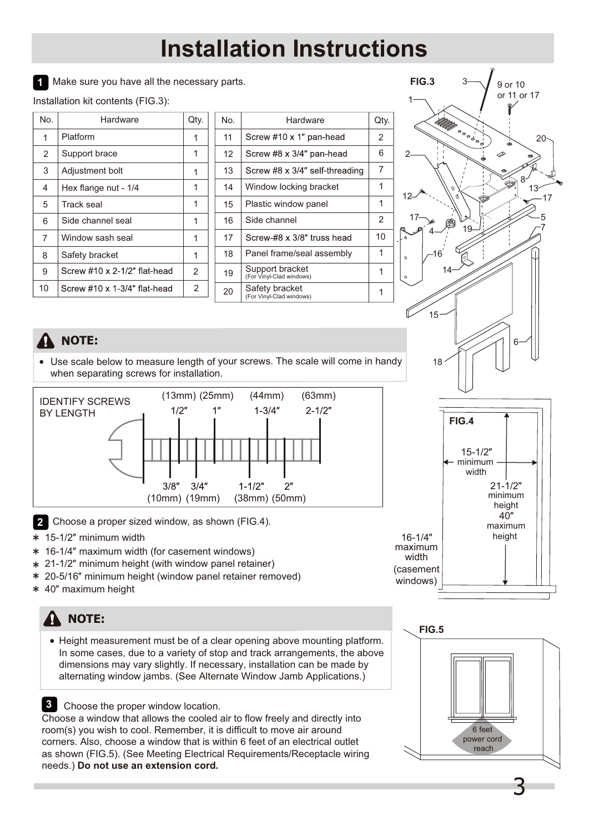1 Make sure you have all the necessary parts.

Installation kit contents (FIG.3):

| No. | Hardware                     | Qty. |
|-----|------------------------------|------|
| 1   | Platform                     |      |
| 2   | Support brace                | 1    |
| 3   | Adjustment bolt              |      |
| 4   | Hex flange nut - 1/4         |      |
| 5   | Track seal                   |      |
| 6   | Side channel seal            |      |
| 7   | Window sash seal             |      |
| 8   | Safety bracket               |      |
| 9   | Screw #10 x 2-1/2" flat-head | 2    |
| 10  | Screw #10 x 1-3/4" flat-head | 2    |

| No. | Hardware                                    | Qty. |
|-----|---------------------------------------------|------|
| 11  | Screw #10 x 1" pan-head                     | 2    |
| 12  | Screw #8 x 3/4" pan-head                    | 6    |
| 13  | Screw #8 x 3/4" self-threading              | 7    |
| 14  | Window locking bracket                      | 1    |
| 15  | Plastic window panel                        | 1    |
| 16  | Side channel                                | 2    |
| 17  | Screw-#8 x 3/8" truss head                  | 10   |
| 18  | Panel frame/seal assembly                   | 1    |
| 19  | Support bracket<br>(For Vinyl-Clad windows) | 1    |
| 20  | Safety bracket<br>(For Vinyl-Clad windows)  |      |



### **NOTE:**

Use scale below to measure length of your screws. The scale will come in handy when separating screws for installation.



- 2 Choose a proper sized window, as shown (FIG.4).
- \* 15-1/2" minimum width
- **\*** 16-1/4" maximum width (for casement windows)
- \* 21-1/2" minimum height (with window panel retainer)
- \* 20-5/16" minimum height (window panel retainer removed)
- Ǝmaximum height

## **NOTE:**

Height measurement must be of a clear opening above mounting platform. In some cases, due to a variety of stop and track arrangements, the above dimensions may vary slightly. If necessary, installation can be made by alternating window jambs. (See Alternate Window Jamb Applications.)

Choose the proper window location. **3**

Choose a window that allows the cooled air to flow freely and directly into room(s) you wish to cool. Remember, it is difficult to move air around corners. Also, choose a window that is within 6 feet of an electrical outlet as shown (FIG.5). (See Meeting Electrical Requirements/Receptacle wiring needs.) **Do not use an extension cord.**



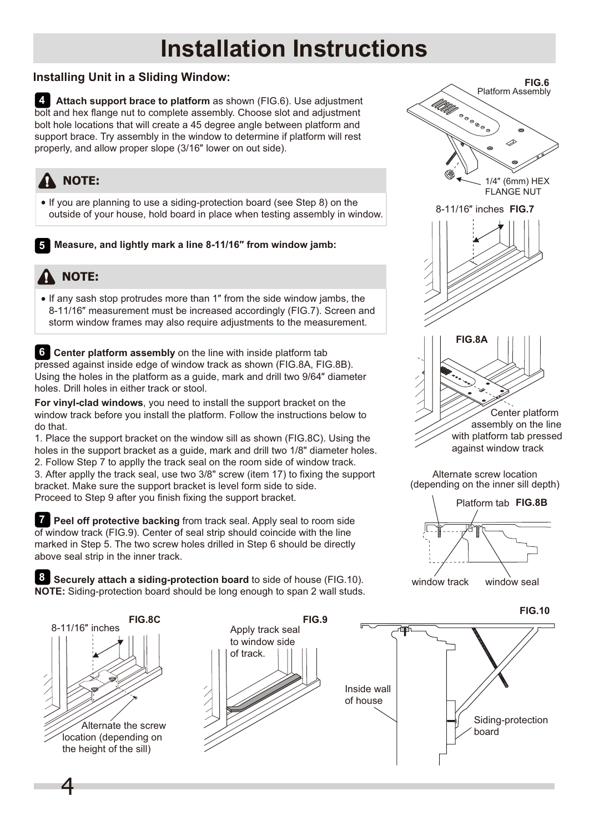#### **Installing Unit in a Sliding Window:**

 **Attach support brace to platform** as shown (FIG.6). Use adjustment **4** bolt and hex flange nut to complete assembly. Choose slot and adjustment bolt hole locations that will create a 45 degree angle between platform and support brace. Try assembly in the window to determine if platform will rest properly, and allow proper slope (3/16" lower on out side).

## **A** NOTE:

• If you are planning to use a siding-protection board (see Step 8) on the outside of your house, hold board in place when testing assembly in window.

**Measure, and lightly mark a line 8-11/16" from window jamb:** 

### **NOTE:**

• If any sash stop protrudes more than 1" from the side window jambs, the 8-11/16" measurement must be increased accordingly (FIG.7). Screen and storm window frames may also require adjustments to the measurement.

**6** Center platform assembly on the line with inside platform tab pressed against inside edge of window track as shown (FIG.8A, FIG.8B). Using the holes in the platform as a quide, mark and drill two 9/64" diameter holes. Drill holes in either track or stool.

**For vinyl-clad windows**, you need to install the support bracket on the window track before you install the platform. Follow the instructions below to do that.

1. Place the support bracket on the window sill as shown (FIG.8C). Using the holes in the support bracket as a guide, mark and drill two 1/8" diameter holes. 2. Follow Step 7 to applly the track seal on the room side of window track. 3. After applly the track seal, use two 3/8" screw (item 17) to fixing the support bracket. Make sure the support bracket is level form side to side. Proceed to Step 9 after you finish fixing the support bracket.

*T* Peel off protective backing from track seal. Apply seal to room side of window track (FIG.9). Center of seal strip should coincide with the line marked in Step 5. The two screw holes drilled in Step 6 should be directly above seal strip in the inner track.





Alternate screw location (depending on the inner sill depth)



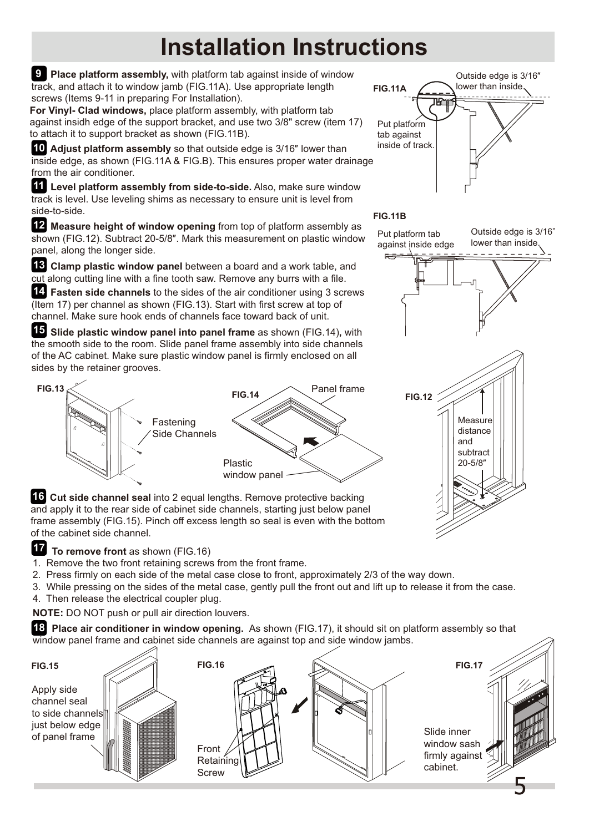**FIG.11A** Panel frame Plastic window panel **FIG.14 10 Adjust platform assembly** so that outside edge is 3/16" lower than inside edge, as shown (FIG.11A & FIG.B). This ensures proper water drainage from the air conditioner.  **Level platform assembly from side-to-side.** Also, make sure window **11** track is level. Use leveling shims as necessary to ensure unit is level from side-to-side. 12 Measure height of window opening from top of platform assembly as shown (FIG.12). Subtract 20-5/8". Mark this measurement on plastic window panel, along the longer side. **13** Clamp plastic window panel between a board and a work table, and cut along cutting line with a fine tooth saw. Remove any burrs with a file.  **Fasten side channels** to the sides of the air conditioner using 3 screws **14** (Item 17) per channel as shown (FIG.13). Start with first screw at top of channel. Make sure hook ends of channels face toward back of unit. **15** Slide plastic window panel into panel frame as shown (FIG.14), with the smooth side to the room. Slide panel frame assembly into side channels of the AC cabinet. Make sure plastic window panel is firmly enclosed on all sides by the retainer grooves. **16 Cut side channel seal** into 2 equal lengths. Remove protective backing and apply it to the rear side of cabinet side channels, starting just below panel frame assembly (FIG.15). Pinch off excess length so seal is even with the bottom of the cabinet side channel. **9** Place platform assembly, with platform tab against inside of window track, and attach it to window jamb (FIG.11A). Use appropriate length screws (Items 9-11 in preparing For Installation). **For Vinyl- Clad windows,** place platform assembly, with platform tab against insidh edge of the support bracket, and use two 3/8" screw (item 17) to attach it to support bracket as shown (FIG.11B). Put platform tab Fastening Side Channels **FIG.13**

Outside edge is  $3/16$ " lower than inside. 啞 Put platform tab against inside of track.

#### **FIG.11B**

Outside edge is 3/16" lower than inside.



**17** To remove front as shown (FIG.16)

- 1. Remove the two front retaining screws from the front frame.
- 2. Press firmly on each side of the metal case close to front, approximately 2/3 of the way down.
- 3. While pressing on the sides of the metal case, gently pull the front out and lift up to release it from the case.
- 4. Then release the electrical coupler plug.
- **NOTE:** DO NOT push or pull air direction louvers.

**18** Place air conditioner in window opening. As shown (FIG.17), it should sit on platform assembly so that window panel frame and cabinet side channels are against top and side window jambs.

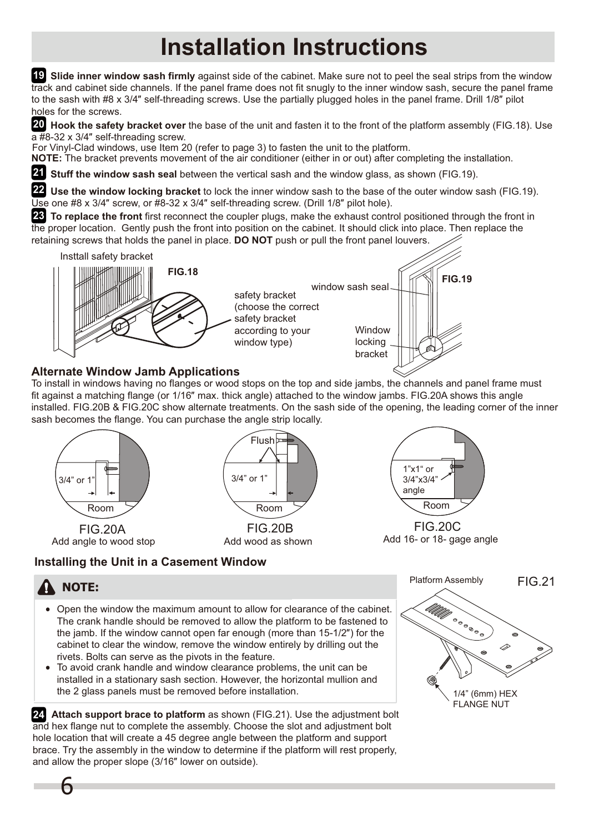**19 Slide inner window sash firmly** against side of the cabinet. Make sure not to peel the seal strips from the window track and cabinet side channels. If the panel frame does not fit snugly to the inner window sash, secure the panel frame to the sash with  $#8 \times 3/4''$  self-threading screws. Use the partially plugged holes in the panel frame. Drill  $1/8''$  pilot holes for the screws.

20 Hook the safety bracket over the base of the unit and fasten it to the front of the platform assembly (FIG.18). Use  $\overline{a}$  #8-32 x 3/4" self-threading screw.

For Vinyl-Clad windows, use Item 20 (refer to page 3) to fasten the unit to the platform.

**NOTE:** The bracket prevents movement of the air conditioner (either in or out) after completing the installation.

**21** Stuff the window sash seal between the vertical sash and the window glass, as shown (FIG.19).

22 Use the window locking bracket to lock the inner window sash to the base of the outer window sash (FIG.19). Use one #8 x  $3/4$ " screw, or #8-32 x  $3/4$ " self-threading screw. (Drill  $1/8$ " pilot hole).

 **To replace the front** first reconnect the coupler plugs, make the exhaust control positioned through the front in **23** the proper location. Gently push the front into position on the cabinet. It should click into place. Then replace the retaining screws that holds the panel in place. **DO NOT** push or pull the front panel louvers.



### **Alternate Window Jamb Applications**

To install in windows having no flanges or wood stops on the top and side jambs, the channels and panel frame must fit against a matching flange (or 1/16" max. thick angle) attached to the window jambs. FIG.20A shows this angle installed. FIG.20B & FIG.20C show alternate treatments. On the sash side of the opening, the leading corner of the inner sash becomes the flange. You can purchase the angle strip locally.



**Installing the Unit in a Casement Window**



## **NOTE:**

6

- Open the window the maximum amount to allow for clearance of the cabinet. The crank handle should be removed to allow the platform to be fastened to the jamb. If the window cannot open far enough (more than  $15-1/2"$ ) for the cabinet to clear the window, remove the window entirely by drilling out the rivets. Bolts can serve as the pivots in the feature.
- To avoid crank handle and window clearance problems, the unit can be installed in a stationary sash section. However, the horizontal mullion and the 2 glass panels must be removed before installation.

**24.** Attach support brace to platform as shown (FIG.21). Use the adjustment bolt and hex flange nut to complete the assembly. Choose the slot and adjustment bolt hole location that will create a 45 degree angle between the platform and support brace. Try the assembly in the window to determine if the platform will rest properly, and allow the proper slope (3/16" lower on outside).

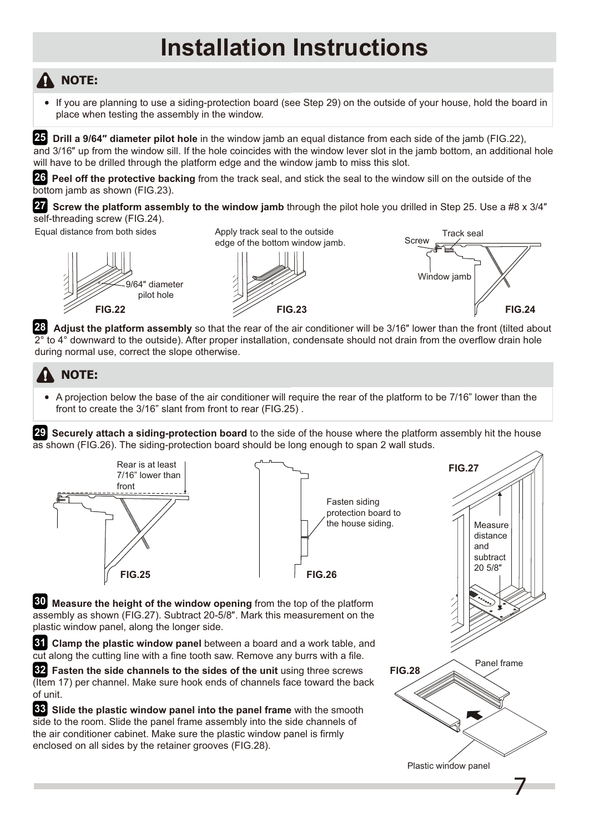## **NOTE:**

If you are planning to use a siding-protection board (see Step 29) on the outside of your house, hold the board in place when testing the assembly in the window.

25 Drill a 9/64" diameter pilot hole in the window jamb an equal distance from each side of the jamb (FIG.22), and 3/16" up from the window sill. If the hole coincides with the window lever slot in the jamb bottom, an additional hole will have to be drilled through the platform edge and the window jamb to miss this slot.

26 Peel off the protective backing from the track seal, and stick the seal to the window sill on the outside of the bottom jamb as shown (FIG.23).

**27** Screw the platform assembly to the window jamb through the pilot hole you drilled in Step 25. Use a #8 x 3/4" self-threading screw (FIG.24).

Equal distance from both sides Apply track seal to the outside



edge of the bottom window jamb.





**28** Adjust the platform assembly so that the rear of the air conditioner will be 3/16" lower than the front (tilted about 2° to 4° downward to the outside). After proper installation, condensate should not drain from the overflow drain hole during normal use, correct the slope otherwise.

## **NOTE:**

A projection below the base of the air conditioner will require the rear of the platform to be 7/16" lower than the front to create the 3/16" slant from front to rear (FIG.25) .

 **Securely attach a siding-protection board** to the side of the house where the platform assembly hit the house **29** as shown (FIG.26). The siding-protection board should be long enough to span 2 wall studs.